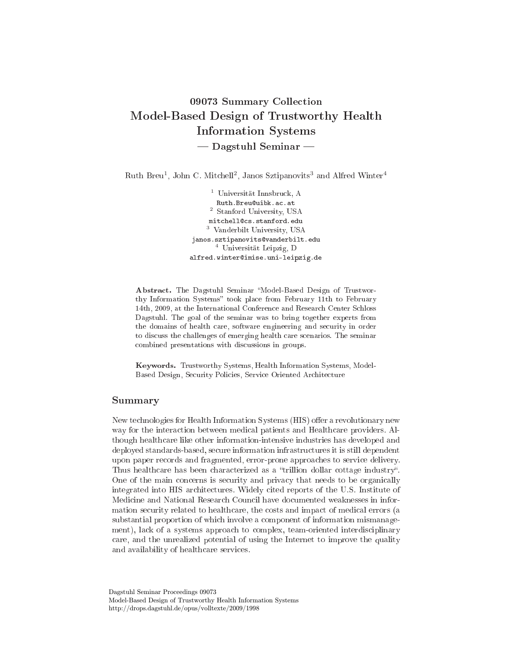# 09073 Summary Collection Model-Based Design of Trustworthy Health **Information Systems** - Dagstuhl Seminar

Ruth Breu<sup>1</sup>, John C. Mitchell<sup>2</sup>, Janos Sztipanovits<sup>3</sup> and Alfred Winter<sup>4</sup>

<sup>1</sup> Universität Innsbruck, A Ruth.Breu@uibk.ac.at <sup>2</sup> Stanford University, USA mitchell@cs.stanford.edu <sup>3</sup> Vanderbilt University, USA janos.sztipanovits@vanderbilt.edu <sup>4</sup> Universität Leipzig, D alfred.winter@imise.uni-leipzig.de

Abstract. The Dagstuhl Seminar "Model-Based Design of Trustworthy Information Systems" took place from February 11th to February 14th, 2009, at the International Conference and Research Center Schloss Dagstuhl. The goal of the seminar was to bring together experts from the domains of health care, software engineering and security in order to discuss the challenges of emerging health care scenarios. The seminar combined presentations with discussions in groups.

Keywords. Trustworthy Systems, Health Information Systems, Model-Based Design, Security Policies, Service Oriented Architecture

## Summary

New technologies for Health Information Systems (HIS) offer a revolutionary new way for the interaction between medical patients and Healthcare providers. Although healthcare like other information-intensive industries has developed and deployed standards-based, secure information infrastructures it is still dependent upon paper records and fragmented, error-prone approaches to service delivery. Thus healthcare has been characterized as a "trillion dollar cottage industry". One of the main concerns is security and privacy that needs to be organically integrated into HIS architectures. Widely cited reports of the U.S. Institute of Medicine and National Research Council have documented weaknesses in information security related to healthcare, the costs and impact of medical errors (a substantial proportion of which involve a component of information mismanagement), lack of a systems approach to complex, team-oriented interdisciplinary care, and the unrealized potential of using the Internet to improve the quality and availability of healthcare services.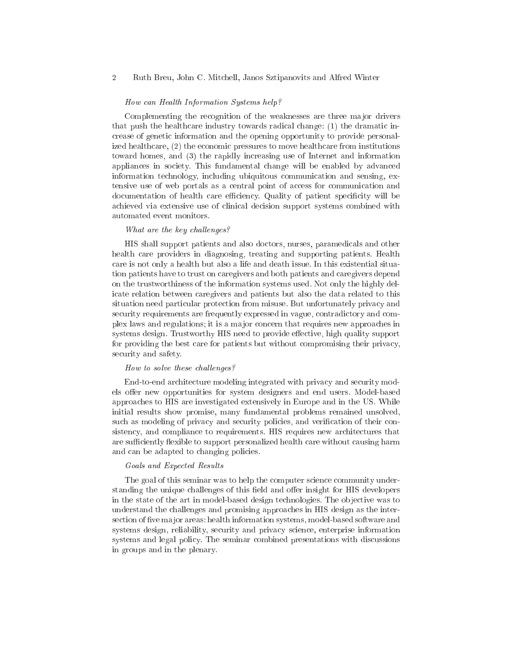#### How an Health Information Systems help?

Complementing the recognition of the weaknesses are three major drivers that push the healthcare industry towards radical change: (1) the dramatic inrease of geneti information and the opening opportunity to provide personalized healthcare, (2) the economic pressures to move healthcare from institutions toward homes, and (3) the rapidly in
reasing use of Internet and information appliances in society. This fundamental change will be enabled by advanced information te
hnology, in
luding ubiquitous ommuni
ation and sensing, extensive use of web portals as a central point of access for communication and documentation of health care efficiency. Quality of patient specificity will be a
hieved via extensive use of lini
al de
ision support systems ombined with automated event monitors.

#### What are the key challenges?

HIS shall support patients and also do
tors, nurses, paramedi
als and other health are providers in diagnosing, treating and supporting patients. Health are is not only a health but also a life and death issue. In this existential situation patients have to trust on caregivers and both patients and caregivers depend on the trustworthiness of the information systems used. Not only the highly deli
ate relation between aregivers and patients but also the data related to this situation need particular protection from misuse. But unfortunately privacy and security requirements are frequently expressed in vague, contradictory and complex laws and regulations; it is a major concern that requires new approaches in systems design. Trustworthy HIS need to provide effective, high quality support for providing the best care for patients but without compromising their privacy, security and safety.

#### How to solve these challenges?

End-to-end architecture modeling integrated with privacy and security models offer new opportunities for system designers and end users. Model-based approa
hes to HIS are investigated extensively in Europe and in the US. While initial results show promise, many fundamental problems remained unsolved, such as modeling of privacy and security policies, and verification of their consistency, and compliance to requirements. HIS requires new architectures that are sufficiently flexible to support personalized health care without causing harm and can be adapted to changing policies.

#### Goals and Expe
ted Results

The goal of this seminar was to help the omputer s
ien
e ommunity understanding the unique challenges of this field and offer insight for HIS developers in the state of the art in model-based design technologies. The objective was to understand the hallenges and promising approa
hes in HIS design as the intersection of five major areas: health information systems, model-based software and systems design, reliability, security and privacy science, enterprise information systems and legal policy. The seminar combined presentations with discussions in groups and in the plenary.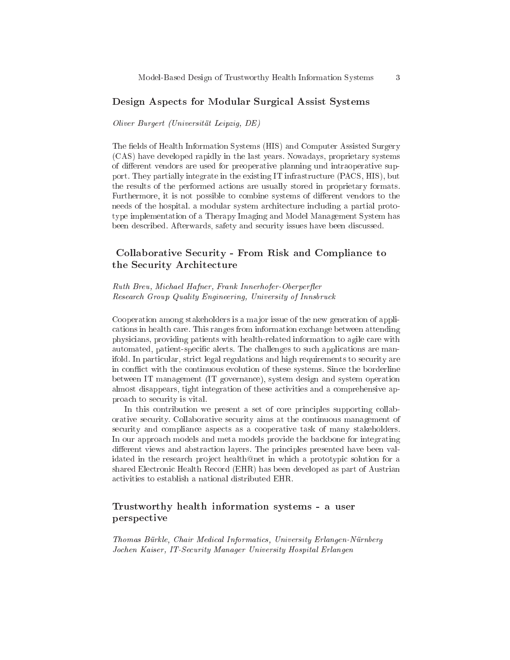## Design Aspects for Modular Surgical Assist Systems

Oliver Burgert (Universität Leipzig, DE)

The fields of Health Information Systems (HIS) and Computer Assisted Surgery (CAS) have developed rapidly in the last years. Nowadays, proprietary systems of different vendors are used for preoperative planning und intraoperative support. They partially integrate in the existing IT infrastru
ture (PACS, HIS), but the results of the performed a
tions are usually stored in proprietary formats. Furthermore, it is not possible to combine systems of different vendors to the needs of the hospital. a modular system architecture including a partial prototype implementation of a Therapy Imaging and Model Management System has been des
ribed. Afterwards, safety and se
urity issues have been dis
ussed.

## Collaborative Security - From Risk and Compliance to the Security Architecture

Ruth Breu, Michael Hafner, Frank Innerhofer-Oberperfler Resear
h Group Quality Engineering, University of Innsbru
k

Cooperation among stakeholders is a ma jor issue of the new generation of appli ations in health are. This ranges from information ex
hange between attending physicians, providing patients with health-related information to agile care with automated, patient-specific alerts. The challenges to such applications are manifold. In parti
ular, stri
t legal regulations and high requirements to se
urity are in conflict with the continuous evolution of these systems. Since the borderline between IT management (IT governan
e), system design and system operation almost disappears, tight integration of these a
tivities and a omprehensive approa
h to se
urity is vital.

In this contribution we present a set of core principles supporting collaborative se
urity. Collaborative se
urity aims at the ontinuous management of se
urity and omplian
e aspe
ts as a ooperative task of many stakeholders. In our approa
h models and meta models provide the ba
kbone for integrating different views and abstraction layers. The principles presented have been validated in the research project health@net in which a prototypic solution for a shared Electronic Health Record (EHR) has been developed as part of Austrian a
tivities to establish a national distributed EHR.

## Trustworthy health information systems - a user perspe
tive

Thomas Bürkle, Chair Medi
al Informati
s, University Erlangen-Nürnberg Jochen Kaiser, IT-Security Manager University Hospital Erlangen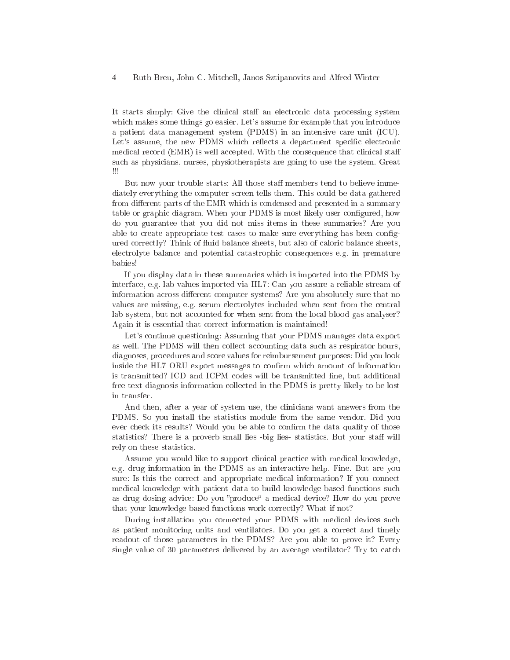It starts simply: Give the clinical staff an electronic data processing system which makes some things go easier. Let's assume for example that you introduce a patient data management system (PDMS) in an intensive care unit (ICU). Let's assume, the new PDMS which reflects a department specific electronic medical record (EMR) is well accepted. With the consequence that clinical staff su
h as physi
ians, nurses, physiotherapists are going to use the system. Great Ш

But now your trouble starts: All those staff members tend to believe immediately everything the omputer s
reen tells them. This ould be data gathered from different parts of the EMR which is condensed and presented in a summary table or graphic diagram. When your PDMS is most likely user configured, how do you guarantee that you did not miss items in these summaries? Are you able to create appropriate test cases to make sure everything has been configured correctly? Think of fluid balance sheets, but also of caloric balance sheets, electrolyte balance and potential catastrophic consequences e.g. in premature babies!

If you display data in these summaries whi
h is imported into the PDMS by interfa
e, e.g. lab values imported via HL7: Can you assure a reliable stream of information across different computer systems? Are you absolutely sure that no values are missing, e.g. serum electrolytes included when sent from the central lab system, but not accounted for when sent from the local blood gas analyser? Again it is essential that orre
t information is maintained!

Let's continue questioning: Assuming that your PDMS manages data export as well. The PDMS will then collect accounting data such as respirator hours, diagnoses, pro
edures and s
ore values for reimbursement purposes: Did you look inside the HL7 ORU export messages to confirm which amount of information is transmitted? ICD and ICPM codes will be transmitted fine, but additional free text diagnosis information collected in the PDMS is pretty likely to be lost in transfer.

And then, after a year of system use, the lini
ians want answers from the PDMS. So you install the statisti
s module from the same vendor. Did you ever check its results? Would you be able to confirm the data quality of those statistics? There is a proverb small lies -big lies-statistics. But your staff will rely on these statisti
s.

Assume you would like to support clinical practice with medical knowledge, e.g. drug information in the PDMS as an intera
tive help. Fine. But are you sure: Is this the correct and appropriate medical information? If you connect medi
al knowledge with patient data to build knowledge based fun
tions su
h as drug dosing advice: Do you "produce" a medical device? How do you prove that your knowledge based functions work correctly? What if not?

During installation you connected your PDMS with medical devices such as patient monitoring units and ventilators. Do you get a correct and timely readout of those parameters in the PDMS? Are you able to prove it? Every single value of 30 parameters delivered by an average ventilator? Try to catch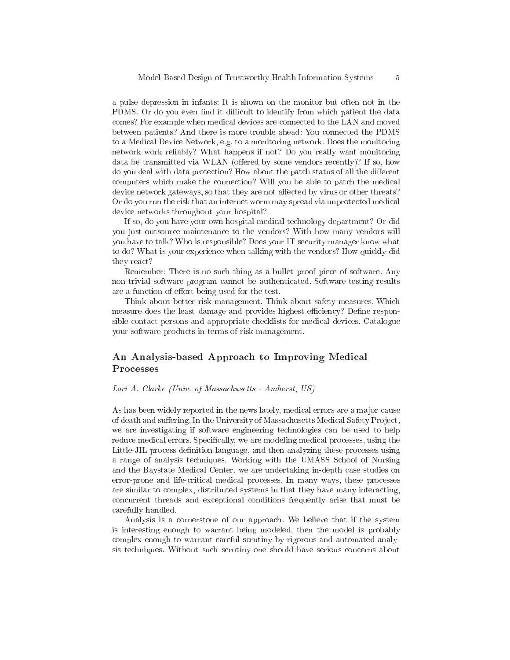a pulse depression in infants: It is shown on the monitor but often not in the PDMS. Or do you even find it difficult to identify from which patient the data omes? For example when medi
al devi
es are onne
ted to the LAN and moved between patients? And there is more trouble ahead: You connected the PDMS to a Medi
al Devi
e Network, e.g. to a monitoring network. Does the monitoring network work reliably? What happens if not? Do you really want monitoring data be transmitted via WLAN (offered by some vendors recently)? If so, how do you deal with data protection? How about the patch status of all the different computers which make the connection? Will you be able to patch the medical device network gateways, so that they are not affected by virus or other threats? Or do you run the risk that an internet worm may spread via unprotected medical devi
e networks throughout your hospital?

If so, do you have your own hospital medi
al te
hnology department? Or did you just outsour
e maintenan
e to the vendors? With how many vendors will you have to talk? Who is responsible? Does your IT se
urity manager know what to do? What is your experience when talking with the vendors? How quickly did they react?

Remember: There is no su
h thing as a bullet proof pie
e of software. Any non trivial software program annot be authenti
ated. Software testing results are a function of effort being used for the test.

Think about better risk management. Think about safety measures. Whi
h measure does the least damage and provides highest efficiency? Define responsible contact persons and appropriate checklists for medical devices. Catalogue your software produ
ts in terms of risk management.

## An Analysis-based Approach to Improving Medical Processes

#### Lori A. Clarke (Univ. of Massa
husetts - Amherst, US)

As has been widely reported in the news lately, medical errors are a major cause of death and suffering. In the University of Massachusetts Medical Safety Project, we are investigating if software engineering te
hnologies an be used to help reduce medical errors. Specifically, we are modeling medical processes, using the Little-JIL process definition language, and then analyzing these processes using a range of analysis te
hniques. Working with the UMASS S
hool of Nursing and the Baystate Medi
al Center, we are undertaking in-depth ase studies on error-prone and liferiti
al medi
al pro
esses. In many ways, these pro
esses are similar to complex, distributed systems in that they have many interacting, on
urrent threads and ex
eptional onditions frequently arise that must be arefully handled.

Analysis is a ornerstone of our approa
h. We believe that if the system is interesting enough to warrant being modeled, then the model is probably complex enough to warrant careful scrutiny by rigorous and automated analysis techniques. Without such scrutiny one should have serious concerns about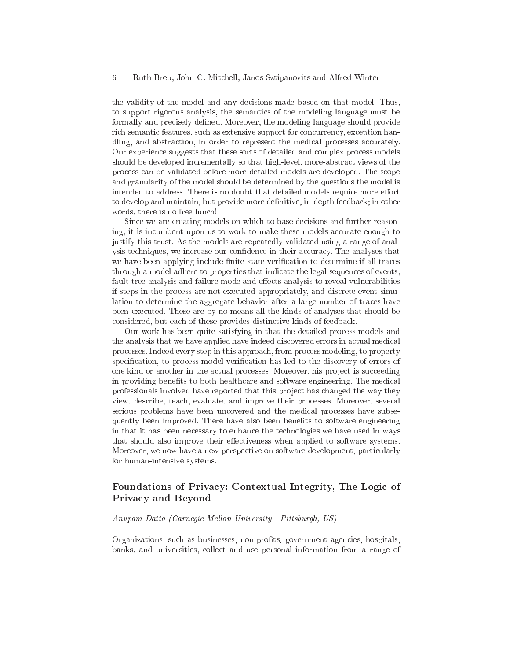the validity of the model and any de
isions made based on that model. Thus, to support rigorous analysis, the semanti
s of the modeling language must be formally and precisely defined. Moreover, the modeling language should provide rich semantic features, such as extensive support for concurrency, exception handling, and abstraction, in order to represent the medical processes accurately. Our experience suggests that these sorts of detailed and complex process models should be developed incrementally so that high-level, more-abstract views of the pro
ess an be validated before more-detailed models are developed. The s
ope and granularity of the model should be determined by the questions the model is intended to address. There is no doubt that detailed models require more effort to develop and maintain, but provide more definitive, in-depth feedback; in other words, there is no free lunch!

Since we are creating models on which to base decisions and further reasoning, it is incumbent upon us to work to make these models accurate enough to justify this trust. As the models are repeatedly validated using a range of analysis techniques, we increase our confidence in their accuracy. The analyses that we have been applying include finite-state verification to determine if all traces through a model adhere to properties that indi
ate the legal sequen
es of events, fault-tree analysis and failure mode and effects analysis to reveal vulnerabilities if steps in the pro
ess are not exe
uted appropriately, and dis
rete-event simulation to determine the aggregate behavior after a large number of traces have been exe
uted. These are by no means all the kinds of analyses that should be considered, but each of these provides distinctive kinds of feedback.

Our work has been quite satisfying in that the detailed pro
ess models and the analysis that we have applied have indeed discovered errors in actual medical pro
esses. Indeed every step in this approa
h, from pro
ess modeling, to property specification, to process model verification has led to the discovery of errors of one kind or another in the actual processes. Moreover, his project is succeeding in providing benefits to both healthcare and software engineering. The medical professionals involved have reported that this project has changed the way they view, describe, teach, evaluate, and improve their processes. Moreover, several serious problems have been uncovered and the medical processes have subsequently been improved. There have also been benefits to software engineering in that it has been ne
essary to enhan
e the te
hnologies we have used in ways that should also improve their effectiveness when applied to software systems. Moreover, we now have a new perspective on software development, particularly for human-intensive systems.

## Foundations of Privacy: Contextual Integrity, The Logic of Priva
y and Beyond

#### Anupam Datta (Carnegie Mellon University - Pittsburgh, US)

Organizations, such as businesses, non-profits, government agencies, hospitals, banks, and universities, olle
t and use personal information from a range of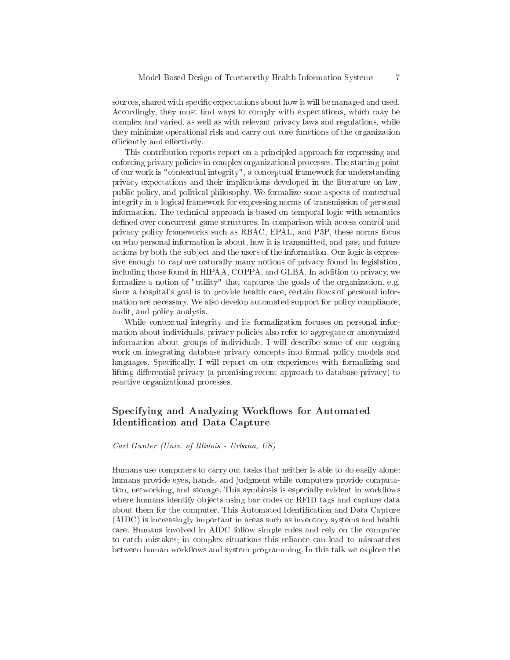sources, shared with specific expectations about how it will be managed and used. Accordingly, they must find ways to comply with expectations, which may be complex and varied, as well as with relevant privacy laws and regulations, while they minimize operational risk and carry out core functions of the organization efficiently and effectively.

This contribution reports report on a principled approach for expressing and enforcing privacy policies in complex organizational processes. The starting point of our work is "contextual integrity", a conceptual framework for understanding privacy expectations and their implications developed in the literature on law, public policy, and political philosophy. We formalize some aspects of contextual integrity in a logical framework for expressing norms of transmission of personal information. The technical approach is based on temporal logic with semantics defined over concurrent game structures. In comparison with access control and privacy policy frameworks such as RBAC, EPAL, and P3P, these norms focus on who personal information is about, how it is transmitted, and past and future actions by both the subject and the users of the information. Our logic is expressive enough to capture naturally many notions of privacy found in legislation, including those found in HIPAA, COPPA, and GLBA. In addition to privacy, we formalize a notion of "utility" that captures the goals of the organization, e.g. since a hospital's goal is to provide health care, certain flows of personal information are necessary. We also develop automated support for policy compliance, audit, and policy analysis.

While contextual integrity and its formalization focuses on personal information about individuals, privacy policies also refer to aggregate or anonymized information about groups of individuals. I will describe some of our ongoing work on integrating database privacy concepts into formal policy models and languages. Specifically, I will report on our experiences with formalizing and lifting differential privacy (a promising recent approach to database privacy) to reactive organizational processes.

## Specifying and Analyzing Workflows for Automated **Identification and Data Capture**

Carl Gunter (Univ. of Illinois - Urbana, US)

Humans use computers to carry out tasks that neither is able to do easily alone: humans provide eves, hands, and judgment while computers provide computation, networking, and storage. This symbiosis is especially evident in workflows where humans identify objects using bar codes or RFID tags and capture data about them for the computer. This Automated Identification and Data Capture (AIDC) is increasingly important in areas such as inventory systems and health care. Humans involved in AIDC follow simple rules and rely on the computer to catch mistakes; in complex situations this reliance can lead to mismatches between human workflows and system programming. In this talk we explore the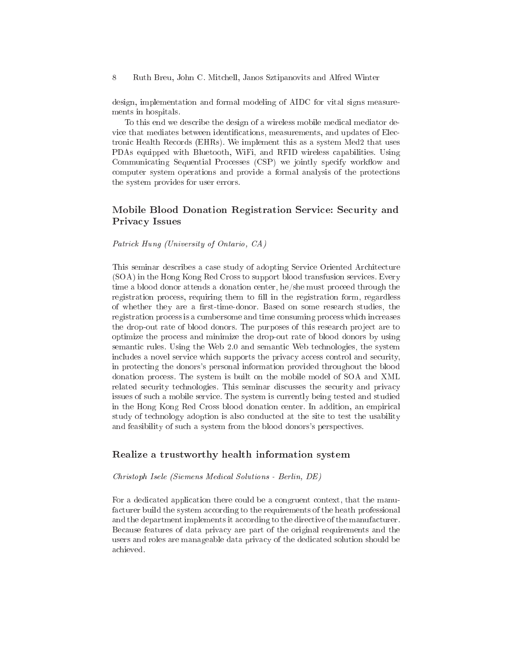design, implementation and formal modeling of AIDC for vital signs measurements in hospitals.

To this end we describe the design of a wireless mobile medical mediator device that mediates between identifications, measurements, and updates of Electronic Health Records (EHRs). We implement this as a system Med2 that uses PDAs equipped with Bluetooth, WiFi, and RFID wireless apabilities. Using Communicating Sequential Processes (CSP) we jointly specify workflow and omputer system operations and provide a formal analysis of the prote
tions the system provides for user errors.

## Mobile Blood Donation Registration Service: Security and Privacy Issues

#### Patri
k Hung (University of Ontario, CA)

This seminar describes a case study of adopting Service Oriented Architecture (SOA) in the Hong Kong Red Cross to support blood transfusion servi
es. Every time a blood donor attends a donation enter, he/she must pro
eed through the registration process, requiring them to fill in the registration form, regardless of whether they are a first-time-donor. Based on some research studies, the registration process is a cumbersome and time consuming process which increases the drop-out rate of blood donors. The purposes of this research project are to optimize the pro
ess and minimize the drop-out rate of blood donors by using semantic rules. Using the Web 2.0 and semantic Web technologies, the system includes a novel service which supports the privacy access control and security, in prote
ting the donors's personal information provided throughout the blood donation pro
ess. The system is built on the mobile model of SOA and XML related security technologies. This seminar discusses the security and privacy issues of su
h a mobile servi
e. The system is urrently being tested and studied in the Hong Kong Red Cross blood donation center. In addition, an empirical study of technology adoption is also conducted at the site to test the usability and feasibility of such a system from the blood donors's perspectives.

#### Realize a trustworthy health information system

Christoph Isele (Siemens Medi
al Solutions - Berlin, DE)

For a dedicated application there could be a congruent context, that the manufacturer build the system according to the requirements of the heath professional and the department implements it according to the directive of the manufacturer. Be
ause features of data priva
y are part of the original requirements and the users and roles are manageable data privacy of the dedicated solution should be a
hieved.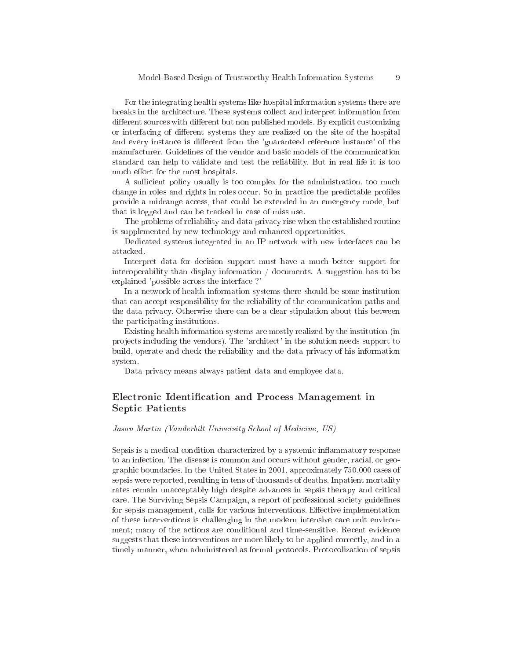For the integrating health systems like hospital information systems there are breaks in the ar
hite
ture. These systems olle
t and interpret information from different sources with different but non published models. By explicit customizing or interfacing of different systems they are realized on the site of the hospital and every instance is different from the 'guaranteed reference instance' of the manufacturer. Guidelines of the vendor and basic models of the communication standard an help to validate and test the reliability. But in real life it is too much effort for the most hospitals.

A sufficient policy usually is too complex for the administration, too much change in roles and rights in roles occur. So in practice the predictable profiles provide a midrange access, that could be extended in an emergency mode, but that is logged and can be tracked in case of miss use.

The problems of reliability and data privacy rise when the established routine is supplemented by new te
hnology and enhan
ed opportunities.

Dedi
ated systems integrated in an IP network with new interfa
es an be

Interpret data for decision support must have a much better support for interoperability than display information / do
uments. A suggestion has to be explained 'possible across the interface ?'

In a network of health information systems there should be some institution that can accept responsibility for the reliability of the communication paths and the data privacy. Otherwise there can be a clear stipulation about this between the participating institutions.

Existing health information systems are mostly realized by the institution (in projects including the vendors). The 'architect' in the solution needs support to build, operate and check the reliability and the data privacy of his information system. system. The contract of the contract of the contract of the contract of the contract of the contract of the contract of the contract of the contract of the contract of the contract of the contract of the contract of the co

Data privacy means always patient data and employee data.

## Electronic Identification and Process Management in Septi Patients

#### Jason Martin (Vanderbilt University School of Medicine, US)

Sepsis is a medical condition characterized by a systemic inflammatory response to an infection. The disease is common and occurs without gender, racial, or geographi boundaries. In the United States in 2001, approximately 750,000 ases of sepsis were reported, resulting in tens of thousands of deaths. Inpatient mortality rates remain unacceptably high despite advances in sepsis therapy and critical care. The Surviving Sepsis Campaign, a report of professional society guidelines for sepsis management, calls for various interventions. Effective implementation of these interventions is hallenging in the modern intensive are unit environment; many of the actions are conditional and time-sensitive. Recent evidence suggests that these interventions are more likely to be applied correctly, and in a timely manner, when administered as formal protocols. Protocolization of sepsis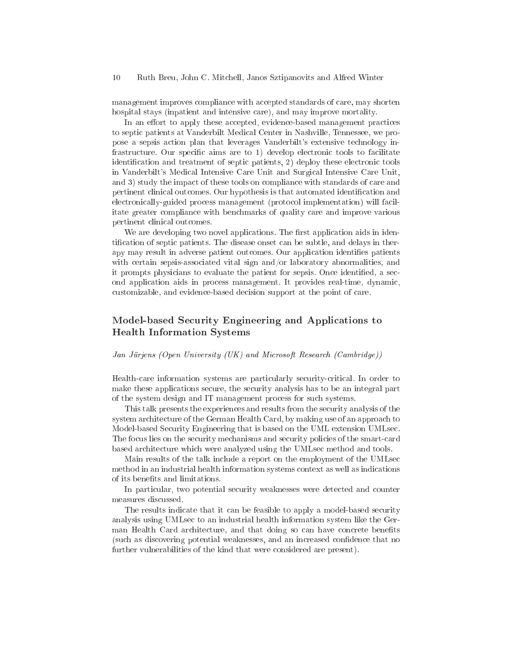management improves compliance with accepted standards of care, may shorten hospital stays (inpatient and intensive care), and may improve mortality.

In an effort to apply these accepted, evidence-based management practices to septic patients at Vanderbilt Medical Center in Nashville, Tennessee, we propose a sepsis a
tion plan that leverages Vanderbilt's extensive te
hnology infrastructure. Our specific aims are to 1) develop electronic tools to facilitate identification and treatment of septic patients, 2) deploy these electronic tools in Vanderbilt's Medi
al Intensive Care Unit and Surgi
al Intensive Care Unit, and 3) study the impa
t of these tools on omplian
e with standards of are and pertinent clinical outcomes. Our hypothesis is that automated identification and electronically-guided process management (protocol implementation) will facilitate greater omplian
e with ben
hmarks of quality are and improve various pertinent lini
al out
omes.

We are developing two novel applications. The first application aids in identification of septic patients. The disease onset can be subtle, and delays in therapy may result in adverse patient outcomes. Our application identifies patients with certain sepsis-associated vital sign and/or laboratory abnormalities, and it prompts physicians to evaluate the patient for sepsis. Once identified, a second application aids in process management. It provides real-time, dynamic, customizable, and evidence-based decision support at the point of care.

## Model-based Security Engineering and Applications to Health Information Systems

#### Jan Jürjens (Open University (UK) and Microsoft Research (Cambridge))

Health-care information systems are particularly security-critical. In order to make these applications secure, the security analysis has to be an integral part of the system design and IT management pro
ess for su
h systems.

This talk presents the experien
es and results from the se
urity analysis of the system architecture of the German Health Card, by making use of an approach to Model-based Security Engineering that is based on the UML extension UMLsec. The focus lies on the security mechanisms and security policies of the smart-card based ar
hite
ture whi
h were analyzed using the UMLse method and tools.

Main results of the talk in
lude a report on the employment of the UMLse method in an industrial health information systems context as well as indications of its benefits and limitations.

In particular, two potential security weaknesses were detected and counter measures dis
ussed.

The results indicate that it can be feasible to apply a model-based security analysis using UMLse to an industrial health information system like the German Health Card architecture, and that doing so can have concrete benefits (such as discovering potential weaknesses, and an increased confidence that no further vulnerabilities of the kind that were onsidered are present).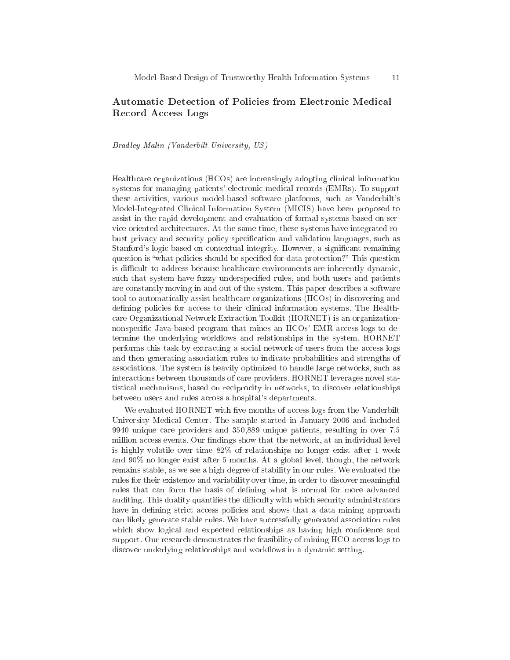## Automatic Detection of Policies from Electronic Medical Record Access Logs

Bradley Malin (Vanderbilt University, US)

Healthcare organizations (HCOs) are increasingly adopting clinical information systems for managing patients' ele
troni medi
al re
ords (EMRs). To support these a
tivities, various model-based software platforms, su
h as Vanderbilt's Model-Integrated Clini
al Information System (MICIS) have been proposed to assist in the rapid development and evaluation of formal systems based on servi
e oriented ar
hite
tures. At the same time, these systems have integrated robust privacy and security policy specification and validation languages, such as Stanford's logic based on contextual integrity. However, a significant remaining question is "what policies should be specified for data protection?" This question is difficult to address because healthcare environments are inherently dynamic, such that system have fuzzy underspecified rules, and both users and patients are onstantly moving in and out of the system. This paper des
ribes a software tool to automatically assist healthcare organizations (HCOs) in discovering and defining policies for access to their clinical information systems. The Healthare Organizational Network Extra
tion Toolkit (HORNET) is an organizationnonspecific Java-based program that mines an HCOs' EMR access logs to determine the underlying workflows and relationships in the system. HORNET performs this task by extracting a social network of users from the access logs and then generating asso
iation rules to indi
ate probabilities and strengths of asso
iations. The system is heavily optimized to handle large networks, su
h as intera
tions between thousands of are providers. HORNET leverages novel statisti
al me
hanisms, based on re
ipro
ity in networks, to dis
over relationships between users and rules a
ross a hospital's departments.

We evaluated HORNET with five months of access logs from the Vanderbilt University Medical Center. The sample started in January 2006 and included 9940 unique are providers and 350,889 unique patients, resulting in over 7.5 million access events. Our findings show that the network, at an individual level is highly volatile over time 82% of relationships no longer exist after 1 week and 90% no longer exist after 5 months. At a global level, though, the network remains stable, as we see a high degree of stability in our rules. We evaluated the rules for their existen
e and variability over time, in order to dis
over meaningful rules that can form the basis of defining what is normal for more advanced auditing. This duality quantifies the difficulty with which security administrators have in defining strict access policies and shows that a data mining approach can likely generate stable rules. We have successfully generated association rules which show logical and expected relationships as having high confidence and support. Our research demonstrates the feasibility of mining HCO access logs to discover underlying relationships and workflows in a dynamic setting.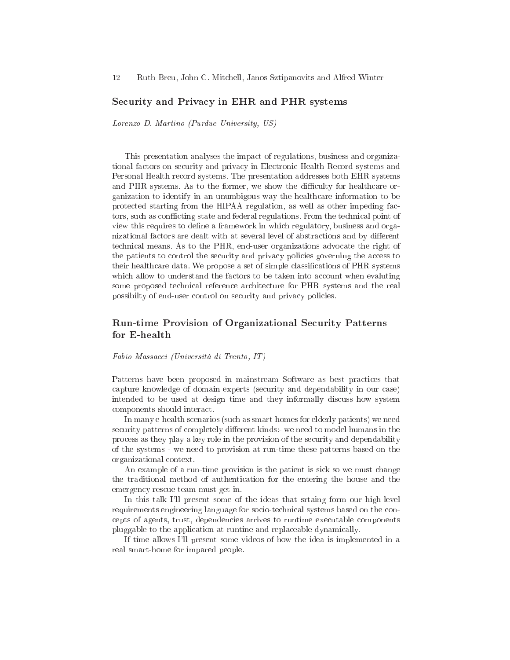## Security and Privacy in EHR and PHR systems

Lorenzo D. Martino (Purdue University, US)

This presentation analyses the impa
t of regulations, business and organizational factors on security and privacy in Electronic Health Record systems and Personal Health record systems. The presentation addresses both EHR systems and PHR systems. As to the former, we show the difficulty for healthcare organization to identify in an unumbigous way the health
are information to be prote
ted starting from the HIPAA regulation, as well as other impeding fa
 tors, such as conflicting state and federal regulations. From the technical point of view this requires to define a framework in which regulatory, business and organizational factors are dealt with at several level of abstractions and by different te
hni
al means. As to the PHR, end-user organizations advo
ate the right of the patients to control the security and privacy policies governing the access to their healthcare data. We propose a set of simple classifications of PHR systems which allow to understand the factors to be taken into account when evaluting some proposed technical reference architecture for PHR systems and the real possibilty of end-user control on security and privacy policies.

## Run-time Provision of Organizational Security Patterns for E-health

#### Fabio Massacci (Università di Trento, IT)

Patterns have been proposed in mainstream Software as best practices that apture knowledge of domain experts (se
urity and dependability in our ase) intended to be used at design time and they informally discuss how system omponents should intera
t.

In many e-health s
enarios (su
h as smart-homes for elderly patients) we need security patterns of completely different kinds:- we need to model humans in the pro
ess as they play a key role in the provision of the se
urity and dependability of the systems - we need to provision at run-time these patterns based on the organizational ontext.

An example of a run-time provision is the patient is sick so we must change the traditional method of authenti
ation for the entering the house and the emergen
y res
ue team must get in.

In this talk I'll present some of the ideas that srtaing form our high-level requirements engineering language for socio-technical systems based on the conepts of agents, trust, dependen
ies arrives to runtime exe
utable omponents pluggable to the appli
ation at runtine and repla
eable dynami
ally.

If time allows I'll present some videos of how the idea is implemented in a real smart-home for impared people.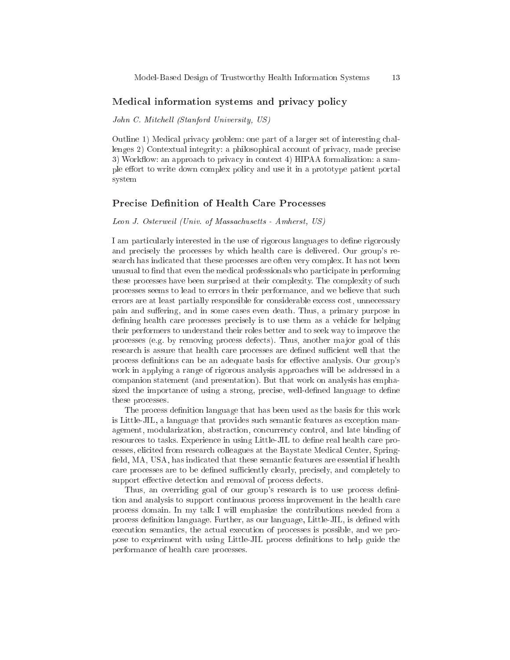## Medical information systems and privacy policy

#### John C. Mitchell (Stanford University, US)

Outline 1) Medical privacy problem: one part of a larger set of interesting challenges 2) Contextual integrity: a philosophical account of privacy, made precise 3) Workflow: an approach to privacy in context 4) HIPAA formalization: a sample effort to write down complex policy and use it in a prototype patient portal system

#### Precise Definition of Health Care Processes

#### Leon J. Osterweil (Univ. of Massa
husetts - Amherst, US)

I am particularly interested in the use of rigorous languages to define rigorously and precisely the processes by which health care is delivered. Our group's resear
h has indi
ated that these pro
esses are often very omplex. It has not been unusual to find that even the medical professionals who participate in performing these processes have been surprised at their complexity. The complexity of such pro
esses seems to lead to errors in their performan
e, and we believe that su
h errors are at least partially responsible for considerable excess cost, unnecessary pain and suffering, and in some cases even death. Thus, a primary purpose in defining health care processes precisely is to use them as a vehicle for helping their performers to understand their roles better and to seek way to improve the pro
esses (e.g. by removing pro
ess defe
ts). Thus, another ma jor goal of this research is assure that health care processes are defined sufficient well that the process definitions can be an adequate basis for effective analysis. Our group's work in applying a range of rigorous analysis approa
hes will be addressed in a ompanion statement (and presentation). But that work on analysis has emphasized the importance of using a strong, precise, well-defined language to define these pro
esses.

The process definition language that has been used as the basis for this work is Little-JIL, a language that provides su
h semanti features as ex
eption management, modularization, abstraction, concurrency control, and late binding of resources to tasks. Experience in using Little-JIL to define real health care processes, elicited from research colleagues at the Baystate Medical Center, Springfield, MA, USA, has indicated that these semantic features are essential if health care processes are to be defined sufficiently clearly, precisely, and completely to support effective detection and removal of process defects.

Thus, an overriding goal of our group's research is to use process definition and analysis to support continuous process improvement in the health care pro
ess domain. In my talk I will emphasize the ontributions needed from a process definition language. Further, as our language, Little-JIL, is defined with execution semantics, the actual execution of processes is possible, and we propose to experiment with using Little-JIL process definitions to help guide the performan
e of health are pro
esses.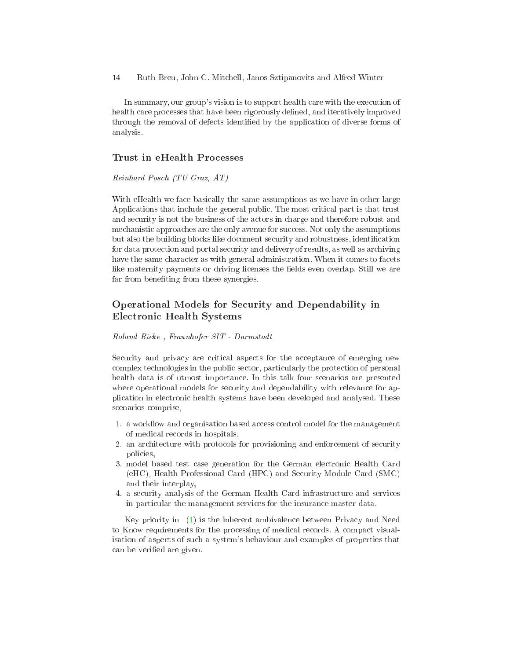In summary, our group's vision is to support health care with the execution of health care processes that have been rigorously defined, and iteratively improved through the removal of defects identified by the application of diverse forms of analysis.

### Trust in eHealth Pro
esses

#### Reinhard Pos
h (TU Graz, AT)

With eHealth we face basically the same assumptions as we have in other large Applications that include the general public. The most critical part is that trust and security is not the business of the actors in charge and therefore robust and mechanistic approaches are the only avenue for success. Not only the assumptions but also the building blocks like document security and robustness, identification for data protection and portal security and delivery of results, as well as archiving have the same character as with general administration. When it comes to facets like maternity payments or driving licenses the fields even overlap. Still we are far from benefiting from these synergies.

## Operational Models for Se
urity and Dependability in Electronic Health Systems

Roland Rieke , Fraunhofer SIT - Darmstadt

Security and privacy are critical aspects for the acceptance of emerging new complex technologies in the public sector, particularly the protection of personal health data is of utmost importan
e. In this talk four s
enarios are presented where operational models for security and dependability with relevance for application in electronic health systems have been developed and analysed. These s
enarios omprise,

- 1. a workflow and organisation based access control model for the management of medi
al re
ords in hospitals,
- 2. an architecture with protocols for provisioning and enforcement of security policies.
- 3. model based test case generation for the German electronic Health Card (eHC), Health Professional Card (HPC) and Se
urity Module Card (SMC) and their interplay,
- 4. a se
urity analysis of the German Health Card infrastru
ture and servi
es in particular the management services for the insurance master data.

Key priority in  $(1)$  is the inherent ambivalence between Privacy and Need to Know requirements for the processing of medical records. A compact visualisation of aspe
ts of su
h a system's behaviour and examples of properties that can be verified are given.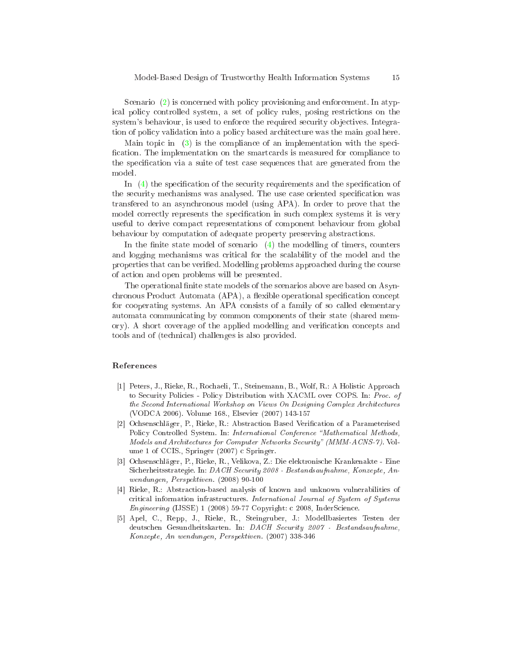Scenario [\(2\)](#page-14-1) is concerned with policy provisioning and enforcement. In a typical policy controlled system, a set of policy rules, posing restrictions on the system's behaviour, is used to enforce the required security objectives. Integration of policy validation into a policy based architecture was the main goal here.

Main topic in  $(3)$  $(3)$  is the compliance of an implementation with the specification. The implementation on the smartcards is measured for compliance to the specification via a suite of test case sequences that are generated from the model.

In  $(4)$  $(4)$  the specification of the security requirements and the specification of the security mechanisms was analysed. The use case oriented specification was transfered to an asyn
hronous model (using APA). In order to prove that the model correctly represents the specification in such complex systems it is very useful to derive ompa
t representations of omponent behaviour from global behaviour by omputation of adequate property preserving abstra
tions.

In the finite state model of scenario  $(4)$  $(4)$  the modelling of timers, counters and logging me
hanisms was riti
al for the s
alability of the model and the properties that can be verified. Modelling problems approached during the course of a
tion and open problems will be presented.

The operational finite state models of the scenarios above are based on Asynchronous Product Automata (APA), a flexible operational specification concept for ooperating systems. An APA onsists of a family of so alled elementary automata communicating by common components of their state (shared memory). A short coverage of the applied modelling and verification concepts and tools and of (te
hni
al) hallenges is also provided.

#### <span id="page-14-0"></span>Referen
es

- [1] Peters, J., Rieke, R., Rochaeli, T., Steinemann, B., Wolf, R.: A Holistic Approach to Security Policies - Policy Distribution with XACML over COPS. In: Proc. of the Second International Workshop on Views On Designing Complex Architectures (VODCA 2006). Volume 168., Elsevier (2007) 143-157
- <span id="page-14-1"></span>[2] Ochsenschläger, P., Rieke, R.: Abstraction Based Verification of a Parameterised Policy Controlled System. In: International Conference "Mathematical Methods, Models and Architectures for Computer Networks Security" (MMM-ACNS-7). Volume 1 of CCIS., Springer (2007) c Springer.
- <span id="page-14-2"></span>[3] Ochsenschläger, P., Rieke, R., Velikova, Z.: Die elektronische Krankenakte - Eine Sicherheitsstrategie. In: DACH Security 2008 - Bestandsaufnahme, Konzepte, Anwendungen, Perspektiven. (2008) 90-100
- <span id="page-14-3"></span>[4] Rieke, R.: Abstraction-based analysis of known and unknown vulnerabilities of critical information infrastructures. International Journal of System of Systems  $Engineering$  (IJSSE) 1 (2008) 59-77 Copyright: c 2008, InderScience.
- [5] Apel, C., Repp, J., Rieke, R., Steingruber, J.: Modellbasiertes Testen der deuts
hen Gesundheitskarten. In: DACH Se
urity 2007 - Bestandsaufnahme, Konzepte, An wendungen, Perspektiven. (2007) 338-346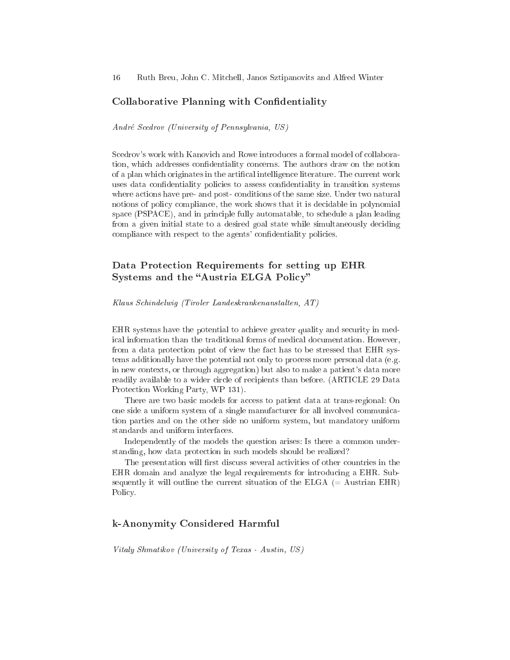### Collaborative Planning with Confidentiality

André Scedrov (University of Pennsylvania, US)

Scedrov's work with Kanovich and Rowe introduces a formal model of collaboration, which addresses confidentiality concerns. The authors draw on the notion of a plan which originates in the artifical intelligence literature. The current work uses data confidentiality policies to assess confidentiality in transition systems where actions have pre- and post- conditions of the same size. Under two natural notions of policy compliance, the work shows that it is decidable in polynomial space (PSPACE), and in principle fully automatable, to schedule a plan leading from a given initial state to a desired goal state while simultaneously deciding compliance with respect to the agents' confidentiality policies.

## Data Protection Requirements for setting up EHR Systems and the "Austria ELGA Policy"

Klaus Schindelwig (Tiroler Landeskrankenanstalten, AT)

EHR systems have the potential to achieve greater quality and security in medical information than the traditional forms of medical documentation. However, from a data protection point of view the fact has to be stressed that EHR systems additionally have the potential not only to process more personal data (e.g. in new contexts, or through aggregation) but also to make a patient's data more readily available to a wider circle of recipients than before. (ARTICLE 29 Data Protection Working Party, WP 131).

There are two basic models for access to patient data at trans-regional: On one side a uniform system of a single manufacturer for all involved communication parties and on the other side no uniform system, but mandatory uniform standards and uniform interfaces.

Independently of the models the question arises: Is there a common understanding, how data protection in such models should be realized?

The presentation will first discuss several activities of other countries in the EHR domain and analyze the legal requirements for introducing a EHR. Subsequently it will outline the current situation of the ELGA  $(=$  Austrian EHR) Policy.

## k-Anonymity Considered Harmful

Vitaly Shmatikov (University of Texas - Austin, US)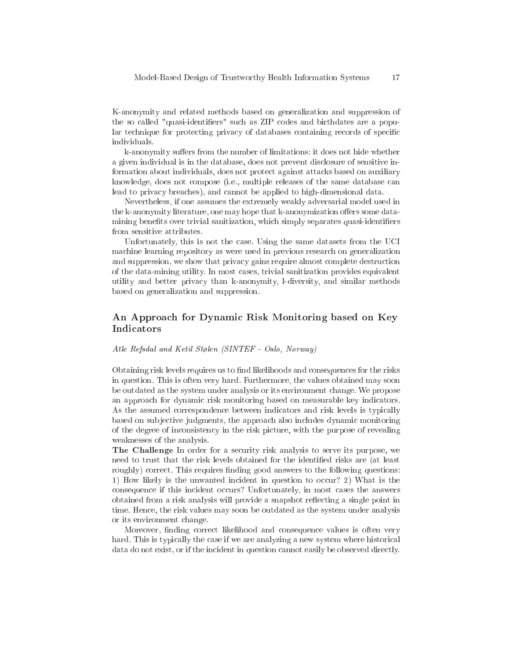$17$ 

K-anonymity and related methods based on generalization and suppression of the so called "quasi-identifiers" such as ZIP codes and birthdates are a popular technique for protecting privacy of databases containing records of specific individuals.

k-anonymity suffers from the number of limitations: it does not hide whether a given individual is in the database, does not prevent dis
losure of sensitive information about individuals, does not prote
t against atta
ks based on auxiliary knowledge, does not compose (i.e., multiple releases of the same database can lead to privacy breaches), and cannot be applied to high-dimensional data.

Nevertheless, if one assumes the extremely weakly adversarial model used in the k-anonymity literature, one may hope that k-anonymization offers some datamining benefits over trivial sanitization, which simply separates quasi-identifiers

Unfortunately, this is not the case. Using the same datasets from the UCI ma
hine learning repository as were used in previous resear
h on generalization and suppression, we show that privacy gains require almost complete destruction of the data-mining utility. In most ases, trivial sanitization provides equivalent utility and better privacy than k-anonymity, l-diversity, and similar methods based on generalization and suppression.

## An Approa
h for Dynami Risk Monitoring based on Key **Indicators**

#### Atle Refsdal and Ketil Stølen (SINTEF - Oslo, Norway)

Obtaining risk levels requires us to find likelihoods and consequences for the risks in question. This is often very hard. Furthermore, the values obtained may soon be outdated as the system under analysis or its environment hange. We propose an approach for dynamic risk monitoring based on measurable key indicators. As the assumed orresponden
e between indi
ators and risk levels is typi
ally based on sub je
tive judgments, the approa
h also in
ludes dynami monitoring of the degree of in
onsisten
y in the risk pi
ture, with the purpose of revealing weaknesses of the analysis.

The Challenge In order for a security risk analysis to serve its purpose, we need to trust that the risk levels obtained for the identified risks are (at least roughly) correct. This requires finding good answers to the following questions: 1) How likely is the unwanted incident in question to occur? 2) What is the consequence if this incident occurs? Unfortunately, in most cases the answers obtained from a risk analysis will provide a snapshot reflecting a single point in time. Hen
e, the risk values may soon be outdated as the system under analysis or its environment hange.

Moreover, finding correct likelihood and consequence values is often very hard. This is typically the case if we are analyzing a new system where historical data do not exist, or if the incident in question cannot easily be observed directly.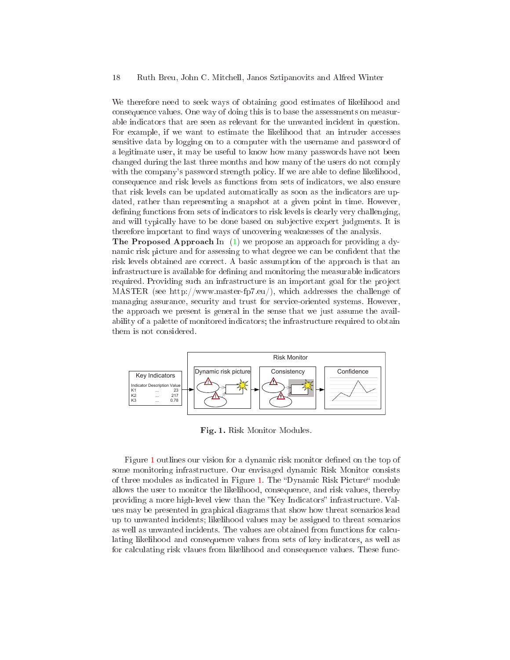We therefore need to seek ways of obtaining good estimates of likelihood and onsequen
e values. One way of doing this is to base the assessments on measurable indicators that are seen as relevant for the unwanted incident in question. For example, if we want to estimate the likelihood that an intruder accesses sensitive data by logging on to a omputer with the username and password of a legitimate user, it may be useful to know how many passwords have not been changed during the last three months and how many of the users do not comply with the company's password strength policy. If we are able to define likelihood, onsequen
e and risk levels as fun
tions from sets of indi
ators, we also ensure that risk levels can be updated automatically as soon as the indicators are updated, rather than representing a snapshot at a given point in time. However, defining functions from sets of indicators to risk levels is clearly very challenging, and will typically have to be done based on subjective expert judgments. It is therefore important to find ways of uncovering weaknesses of the analysis.

**The Proposed Approach** In  $(1)$  we propose an approach for providing a dynamic risk picture and for assessing to what degree we can be confident that the risk levels obtained are correct. A basic assumption of the approach is that an infrastructure is available for defining and monitoring the measurable indicators required. Providing such an infrastructure is an important goal for the project MASTER (see http://www.master-fp7.eu/), whi
h addresses the hallenge of managing assuran
e, se
urity and trust for servi
e-oriented systems. However, the approa
h we present is general in the sense that we just assume the availability of a palette of monitored indicators; the infrastructure required to obtain them is not onsidered.



<span id="page-17-0"></span>Fig. 1. Risk Monitor Modules.

Figure [1](#page-17-0) outlines our vision for a dynamic risk monitor defined on the top of some monitoring infrastructure. Our envisaged dynamic Risk Monitor consists of three modules as indicated in Figure [1.](#page-17-0) The "Dynamic Risk Picture" module allows the user to monitor the likelihood, onsequen
e, and risk values, thereby providing a more high-level view than the "Key Indicators" infrastructure. Values may be presented in graphi
al diagrams that show how threat s
enarios lead up to unwanted in
idents; likelihood values may be assigned to threat s
enarios as well as unwanted incidents. The values are obtained from functions for calculating likelihood and consequence values from sets of key indicators, as well as for calculating risk vlaues from likelihood and consequence values. These func